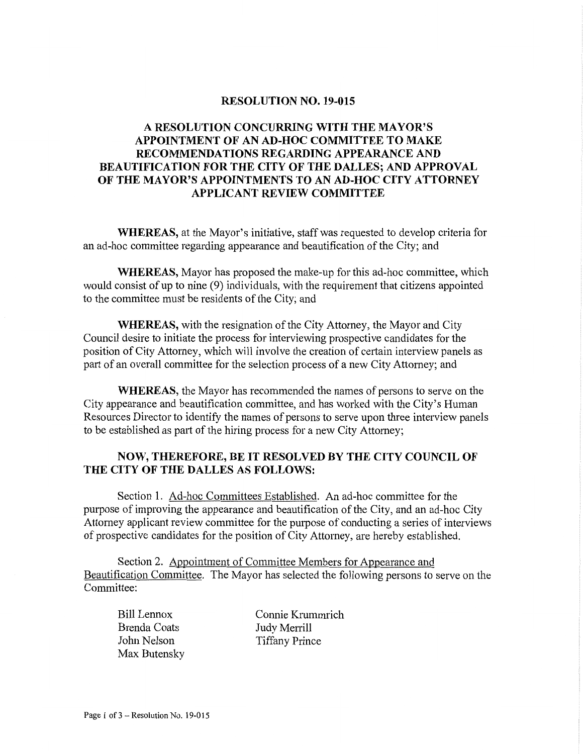#### **RESOLUTION NO. 19-015**

### **A RESOLUTION CONCURRING WITH THE MAYOR'S APPOINTMENT OF AN AD-HOC COMMITTEE TO MAKE RECOMMENDATIONS REGARDING APPEARANCE AND BEAUTIFICATION FOR THE CITY OF THE DALLES; AND APPROVAL OF THE MAYOR'S APPOINTMENTS TO AN AD-HOC CITY ATTORNEY APPLICANT REVIEW COMMITTEE**

**WHEREAS,** at the Mayor's initiative, staff was requested to develop criteria for an ad-hoc committee regarding appearance and beautification of the City; and

**WHEREAS,** Mayor has proposed the make-up for this ad-hoc committee, which would consist of up to nine (9) individuals, with the requirement that citizens appointed to the committee must be residents of the City; and

**WHEREAS,** with the resignation of the City Attorney, the Mayor and City Council desire to initiate the process for interviewing prospective candidates for the position of City Attorney, which will involve the creation of certain interview panels as part of an overall committee for the selection process of a new City Attorney; and

**WHEREAS,** the Mayor has recommended the names of persons to serve on the City appearance and beautification committee, and has worked with the City's Human Resources Director to identify the names of persons to serve upon three interview panels to be established as part of the hiring process for a new City Attorney;

#### **NOW, THEREFORE, BE IT RESOLVED BY THE CITY COUNCIL OF THE CITY OF THE DALLES AS FOLLOWS:**

Section 1. Ad-hoc Committees Established. An ad-hoc committee for the purpose of improving the appearance and beautification of the City, and an ad-hoc City Attorney applicant review committee for the purpose of conducting a series of interviews of prospective candidates for the position of City Attorney, are hereby established.

Section 2. Appointment of Committee Members for Appearance and Beautification Committee. The Mayor has selected the following persons to serve on the Committee:

**Bill** Lennox Brenda Coats John Nelson Max Butensky

Connie Krummrich Judy Merrill Tiffany Prince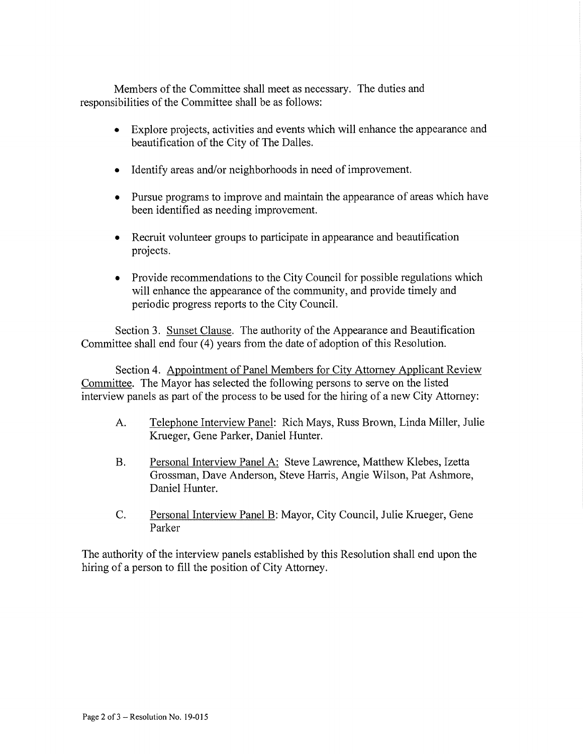Members of the Committee shall meet as necessary. The duties and responsibilities of the Committee shall be as follows:

- Explore projects, activities and events which will enhance the appearance and beautification of the City of The Dalles.
- Identify areas and/or neighborhoods in need of improvement.
- Pursue programs to improve and maintain the appearance of areas which have been identified as needing improvement.
- Recruit volunteer groups to participate in appearance and beautification projects.
- Provide recommendations to the City Council for possible regulations which will enhance the appearance of the community, and provide timely and periodic progress reports to the City Council.

Section 3. Sunset Clause. The authority of the Appearance and Beautification Committee shall end four (4) years from the date of adoption of this Resolution.

Section 4. Appointment of Panel Members for City Attorney Applicant Review Committee. The Mayor has selected the following persons to serve on the listed interview panels as part of the process to be used for the hiring of a new City Attorney:

- A. Telephone Interview Panel: Rich Mays, Russ Brown, Linda Miller, Julie Krueger, Gene Parker, Daniel Hunter.
- B. Personal Interview Panel A: Steve Lawrence, Matthew Klebes, Izetta Grossman, Dave Anderson, Steve Harris, Angie Wilson, Pat Ashmore, Daniel Hunter.
- C. Personal Interview Panel B: Mayor, City Council, Julie Krueger, Gene Parker

The authority of the interview panels established by this Resolution shall end upon the hiring of a person to fill the position of City Attorney.